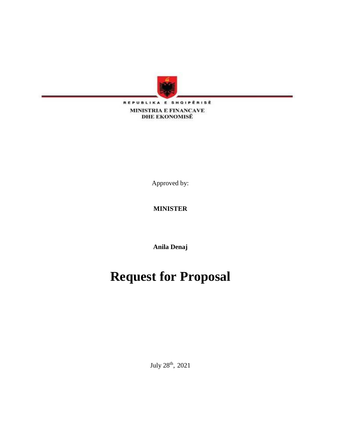

REPUBLIKA E SHQIPËRISË **MINISTRIA E FINANCAVE DHE EKONOMISË** 

Approved by:

# **MINISTER**

**Anila Denaj**

# **Request for Proposal**

July 28<sup>th</sup>, 2021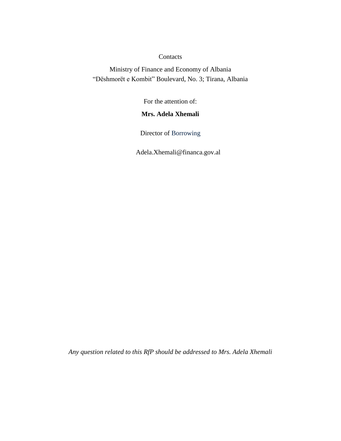#### **Contacts**

Ministry of Finance and Economy of Albania "Dëshmorët e Kombit" Boulevard, No. 3; Tirana, Albania

For the attention of:

# **Mrs. Adela Xhemali**

Director of Borrowing

Adela.Xhemali@financa.gov.al

*Any question related to this RfP should be addressed to Mrs. Adela Xhemali*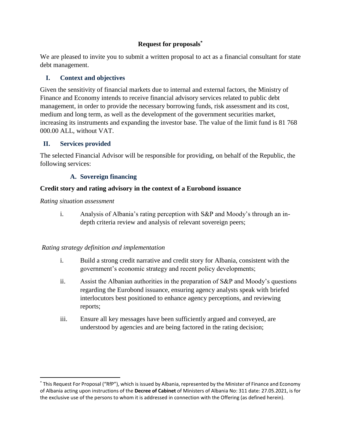# **Request for proposals\***

We are pleased to invite you to submit a written proposal to act as a financial consultant for state debt management.

# **I. Context and objectives**

Given the sensitivity of financial markets due to internal and external factors, the Ministry of Finance and Economy intends to receive financial advisory services related to public debt management, in order to provide the necessary borrowing funds, risk assessment and its cost, medium and long term, as well as the development of the government securities market, increasing its instruments and expanding the investor base. The value of the limit fund is 81 768 000.00 ALL, without VAT.

### **II. Services provided**

The selected Financial Advisor will be responsible for providing, on behalf of the Republic, the following services:

### **A. Sovereign financing**

### **Credit story and rating advisory in the context of a Eurobond issuance**

*Rating situation assessment* 

 $\overline{\phantom{a}}$ 

i. Analysis of Albania's rating perception with S&P and Moody's through an indepth criteria review and analysis of relevant sovereign peers;

#### *Rating strategy definition and implementation*

- i. Build a strong credit narrative and credit story for Albania, consistent with the government's economic strategy and recent policy developments;
- ii. Assist the Albanian authorities in the preparation of S&P and Moody's questions regarding the Eurobond issuance, ensuring agency analysts speak with briefed interlocutors best positioned to enhance agency perceptions, and reviewing reports;
- iii. Ensure all key messages have been sufficiently argued and conveyed, are understood by agencies and are being factored in the rating decision;

<sup>\*</sup> This Request For Proposal ("RfP"), which is issued by Albania, represented by the Minister of Finance and Economy of Albania acting upon instructions of the **Decree of Cabinet** of Ministers of Albania No: 311 date: 27.05.2021, is for the exclusive use of the persons to whom it is addressed in connection with the Offering (as defined herein).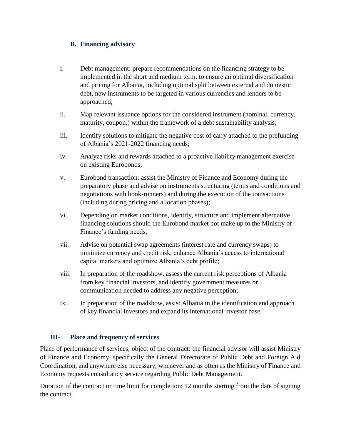#### **B. Financing advisory**

- i. Debt management: prepare recommendations on the financing strategy to be implemented in the short and medium term, to ensure an optimal diversification and pricing for Albania, including optimal split between external and domestic debt, new instruments to be targeted in various currencies and lenders to be approached;
- ii. Map relevant issuance options for the considered instrument (nominal, currency, maturity, coupon,) within the framework of a debt sustainability analysis;
- iii. Identify solutions to mitigate the negative cost of carry attached to the prefunding of Albania's 2021-2022 financing needs;
- iv. Analyze risks and rewards attached to a proactive liability management exercise on existing Eurobonds;
- v. Eurobond transaction: assist the Ministry of Finance and Economy during the preparatory phase and advise on instruments structuring (terms and conditions and negotiations with book-runners) and during the execution of the transactions (including during pricing and allocation phases);
- vi. Depending on market conditions, identify, structure and implement alternative financing solutions should the Eurobond market not make up to the Ministry of Finance's funding needs;
- vii. Advise on potential swap agreements (interest rate and currency swaps) to minimize currency and credit risk, enhance Albania's access to international capital markets and optimize Albania's debt profile;
- viii. In preparation of the roadshow, assess the current risk perceptions of Albania from key financial investors, and identify government measures or communication needed to address any negative perception;
- ix. In preparation of the roadshow, assist Albania in the identification and approach of key financial investors and expand its international investor base.

# **III- Place and frequency of services**

Place of performance of services, object of the contract: the financial advisor will assist Ministry of Finance and Economy, specifically the General Directorate of Public Debt and Foreign Aid Coordination, and anywhere else necessary, whenever and as often as the Ministry of Finance and Economy requests consultancy service regarding Public Debt Management.

Duration of the contract or time limit for completion: 12 months starting from the date of signing the contract.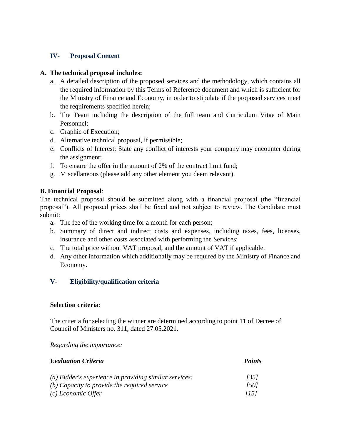# **IV- Proposal Content**

### **A. The technical proposal includes:**

- a. A detailed description of the proposed services and the methodology, which contains all the required information by this Terms of Reference document and which is sufficient for the Ministry of Finance and Economy, in order to stipulate if the proposed services meet the requirements specified herein;
- b. The Team including the description of the full team and Curriculum Vitae of Main Personnel;
- c. Graphic of Execution;
- d. Alternative technical proposal, if permissible;
- e. Conflicts of Interest: State any conflict of interests your company may encounter during the assignment;
- f. To ensure the offer in the amount of 2% of the contract limit fund;
- g. Miscellaneous (please add any other element you deem relevant).

### **B. Financial Proposal**:

The technical proposal should be submitted along with a financial proposal (the "financial proposal"). All proposed prices shall be fixed and not subject to review. The Candidate must submit:

- a. The fee of the working time for a month for each person;
- b. Summary of direct and indirect costs and expenses, including taxes, fees, licenses, insurance and other costs associated with performing the Services;
- c. The total price without VAT proposal, and the amount of VAT if applicable.
- d. Any other information which additionally may be required by the Ministry of Finance and Economy.

# **V- Eligibility/qualification criteria**

#### **Selection criteria:**

The criteria for selecting the winner are determined according to point 11 of Decree of Council of Ministers no. 311, dated 27.05.2021.

*Regarding the importance:*

| <b>Evaluation Criteria</b>                               | <b>Points</b> |  |
|----------------------------------------------------------|---------------|--|
| $(a)$ Bidder's experience in providing similar services: | [35]          |  |
| $(b)$ Capacity to provide the required service           | [50]          |  |
| (c) Economic Offer                                       | [15]          |  |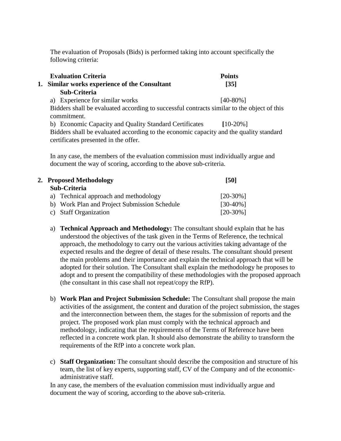The evaluation of Proposals (Bids) is performed taking into account specifically the following criteria:

| <b>Evaluation Criteria</b>                                                                                                     | <b>Points</b>     |
|--------------------------------------------------------------------------------------------------------------------------------|-------------------|
| 1. Similar works experience of the Consultant                                                                                  | $\left[35\right]$ |
| Sub-Criteria                                                                                                                   |                   |
| a) Experience for similar works                                                                                                | $[40-80\%]$       |
| Bidders shall be evaluated according to successful contracts similar to the object of this<br>commitment.                      |                   |
| b) Economic Capacity and Quality Standard Certificates                                                                         | $[10-20\%]$       |
| Bidders shall be evaluated according to the economic capacity and the quality standard<br>certificates presented in the offer. |                   |

In any case, the members of the evaluation commission must individually argue and document the way of scoring, according to the above sub-criteria.

| 2. Proposed Methodology                      | [50]        |
|----------------------------------------------|-------------|
| Sub-Criteria                                 |             |
| a) Technical approach and methodology        | $[20-30\%]$ |
| b) Work Plan and Project Submission Schedule | $[30-40\%]$ |
| c) Staff Organization                        | $[20-30\%]$ |

- a) **Technical Approach and Methodology:** The consultant should explain that he has understood the objectives of the task given in the Terms of Reference, the technical approach, the methodology to carry out the various activities taking advantage of the expected results and the degree of detail of these results. The consultant should present the main problems and their importance and explain the technical approach that will be adopted for their solution. The Consultant shall explain the methodology he proposes to adopt and to present the compatibility of these methodologies with the proposed approach (the consultant in this case shall not repeat/copy the RfP).
- b) **Work Plan and Project Submission Schedule:** The Consultant shall propose the main activities of the assignment, the content and duration of the project submission, the stages and the interconnection between them, the stages for the submission of reports and the project. The proposed work plan must comply with the technical approach and methodology, indicating that the requirements of the Terms of Reference have been reflected in a concrete work plan. It should also demonstrate the ability to transform the requirements of the RfP into a concrete work plan.
- c) **Staff Organization:** The consultant should describe the composition and structure of his team, the list of key experts, supporting staff, CV of the Company and of the economicadministrative staff.

In any case, the members of the evaluation commission must individually argue and document the way of scoring, according to the above sub-criteria.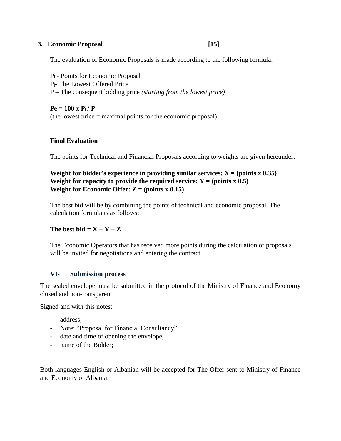#### **3. Economic Proposal [15]**

The evaluation of Economic Proposals is made according to the following formula:

Pe- Points for Economic Proposal Pl- The Lowest Offered Price P – The consequent bidding price *(starting from the lowest price)* 

 $P_e = 100 \times P_1 / P_2$ (the lowest price = maximal points for the economic proposal)

#### **Final Evaluation**

The points for Technical and Financial Proposals according to weights are given hereunder:

**Weight for bidder's experience in providing similar services:**  $X = (points x 0.35)$ **Weight for capacity to provide the required service:**  $Y = (points x 0.5)$ **Weight for Economic Offer:**  $Z = (points x 0.15)$ 

The best bid will be by combining the points of technical and economic proposal. The calculation formula is as follows:

#### The best bid  $= X + Y + Z$

The Economic Operators that has received more points during the calculation of proposals will be invited for negotiations and entering the contract.

#### **VI- Submission process**

The sealed envelope must be submitted in the protocol of the Ministry of Finance and Economy closed and non-transparent:

Signed and with this notes:

- address;
- Note: "Proposal for Financial Consultancy"
- date and time of opening the envelope;
- name of the Bidder;

Both languages English or Albanian will be accepted for The Offer sent to Ministry of Finance and Economy of Albania.